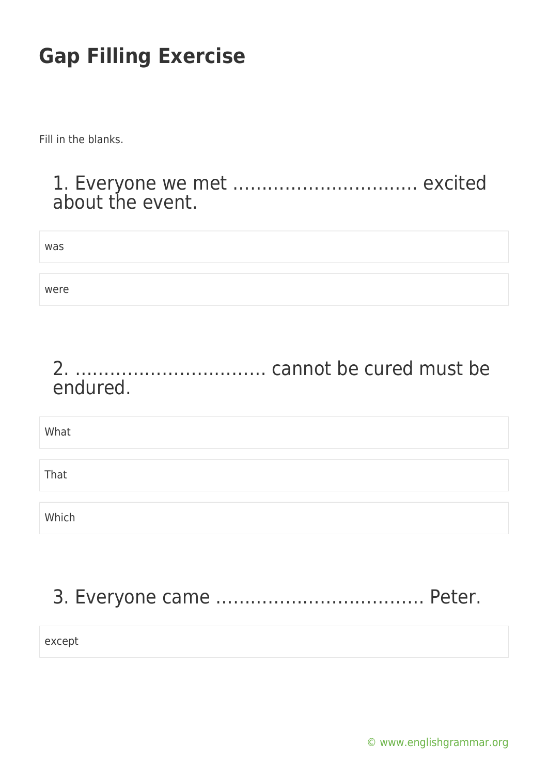Fill in the blanks.

#### 1. Everyone we met ………………………….. excited about the event.

| was  |  |  |
|------|--|--|
| were |  |  |

#### 2. …………………………… cannot be cured must be endured.

| What  |  |
|-------|--|
|       |  |
| That  |  |
|       |  |
| Which |  |

## 3. Everyone came ……………………………… Peter.

except

[© www.englishgrammar.org](https://www.englishgrammar.org/)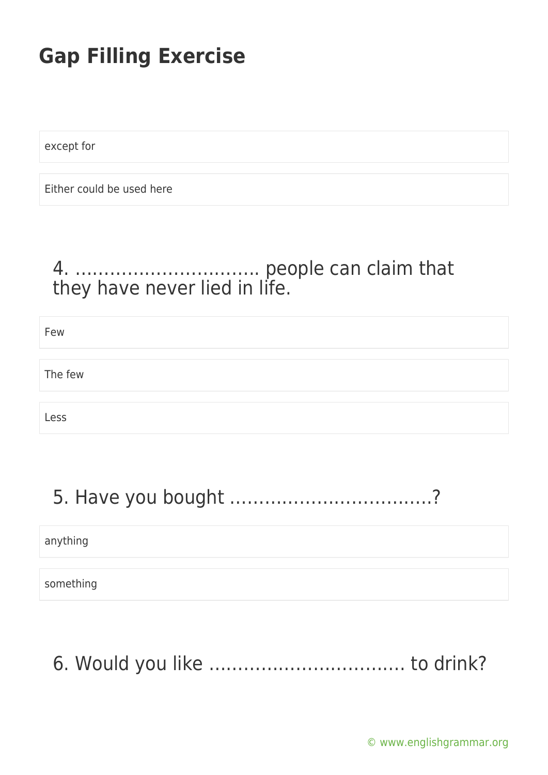except for

Either could be used here

#### 4. ………………………….. people can claim that they have never lied in life.

| Few     |  |
|---------|--|
|         |  |
| The few |  |
|         |  |
| Less    |  |

## 5. Have you bought ……………………………..?

anything

something

6. Would you like ……………………………. to drink?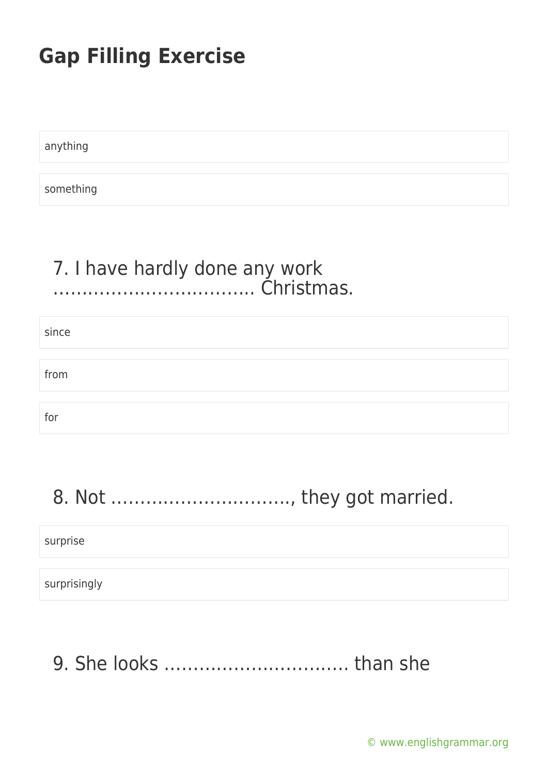anything

something

#### 7. I have hardly done any work …………………………….. Christmas.

| since |  |  |
|-------|--|--|
|       |  |  |
| from  |  |  |
|       |  |  |
| for   |  |  |

## 8. Not …………………………., they got married.

surprise

surprisingly

9. She looks ………………………….. than she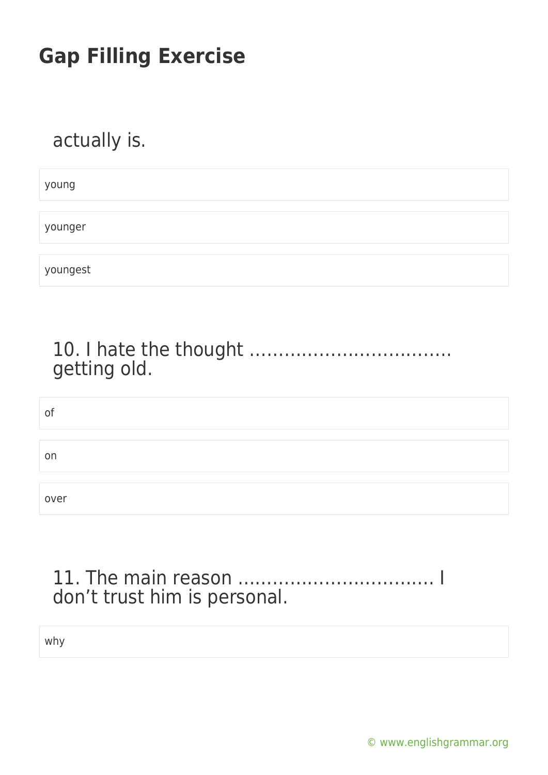## actually is.

young

younger

youngest

#### 10. I hate the thought …………………………….. getting old.

| of   |  |  |
|------|--|--|
|      |  |  |
| on   |  |  |
|      |  |  |
| over |  |  |

#### 11. The main reason ……………………………. I don't trust him is personal.

why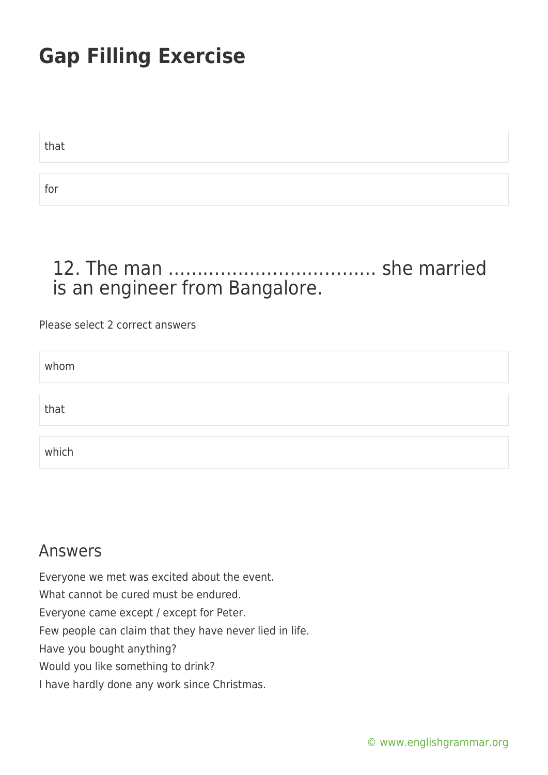that

for

### 12. The man ……………………………… she married is an engineer from Bangalore.

#### Please select 2 correct answers

| whom  |  |
|-------|--|
|       |  |
| that  |  |
|       |  |
| which |  |

#### Answers

Everyone we met was excited about the event. What cannot be cured must be endured. Everyone came except / except for Peter. Few people can claim that they have never lied in life. Have you bought anything? Would you like something to drink? I have hardly done any work since Christmas.